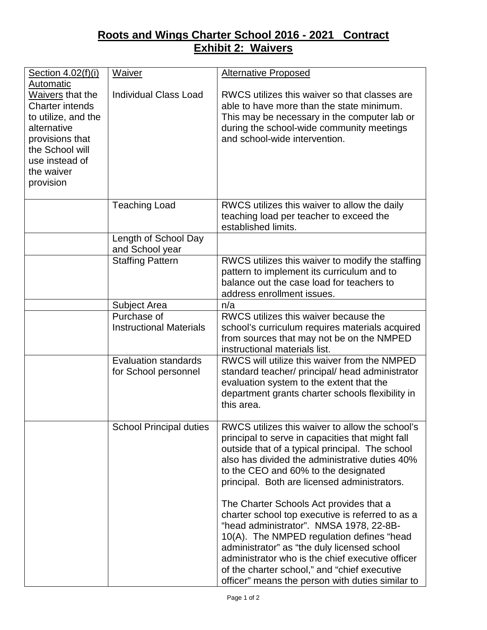## **Roots and Wings Charter School 2016 - 2021 Contract Exhibit 2: Waivers**

| Section 4.02(f)(i)<br>Automatic                                                                                                                                     | <b>Waiver</b>                                       | <b>Alternative Proposed</b>                                                                                                                                                                                                                                                                                                                                                                |
|---------------------------------------------------------------------------------------------------------------------------------------------------------------------|-----------------------------------------------------|--------------------------------------------------------------------------------------------------------------------------------------------------------------------------------------------------------------------------------------------------------------------------------------------------------------------------------------------------------------------------------------------|
| Waivers that the<br><b>Charter intends</b><br>to utilize, and the<br>alternative<br>provisions that<br>the School will<br>use instead of<br>the waiver<br>provision | <b>Individual Class Load</b>                        | RWCS utilizes this waiver so that classes are<br>able to have more than the state minimum.<br>This may be necessary in the computer lab or<br>during the school-wide community meetings<br>and school-wide intervention.                                                                                                                                                                   |
|                                                                                                                                                                     | <b>Teaching Load</b>                                | RWCS utilizes this waiver to allow the daily<br>teaching load per teacher to exceed the<br>established limits.                                                                                                                                                                                                                                                                             |
|                                                                                                                                                                     | Length of School Day<br>and School year             |                                                                                                                                                                                                                                                                                                                                                                                            |
|                                                                                                                                                                     | <b>Staffing Pattern</b>                             | RWCS utilizes this waiver to modify the staffing<br>pattern to implement its curriculum and to<br>balance out the case load for teachers to<br>address enrollment issues.                                                                                                                                                                                                                  |
|                                                                                                                                                                     | Subject Area                                        | n/a                                                                                                                                                                                                                                                                                                                                                                                        |
|                                                                                                                                                                     | Purchase of<br><b>Instructional Materials</b>       | RWCS utilizes this waiver because the<br>school's curriculum requires materials acquired<br>from sources that may not be on the NMPED<br>instructional materials list.                                                                                                                                                                                                                     |
|                                                                                                                                                                     | <b>Evaluation standards</b><br>for School personnel | RWCS will utilize this waiver from the NMPED<br>standard teacher/ principal/ head administrator<br>evaluation system to the extent that the<br>department grants charter schools flexibility in<br>this area.                                                                                                                                                                              |
|                                                                                                                                                                     | <b>School Principal duties</b>                      | RWCS utilizes this waiver to allow the school's<br>principal to serve in capacities that might fall<br>outside that of a typical principal. The school<br>also has divided the administrative duties 40%<br>to the CEO and 60% to the designated<br>principal. Both are licensed administrators.                                                                                           |
|                                                                                                                                                                     |                                                     | The Charter Schools Act provides that a<br>charter school top executive is referred to as a<br>"head administrator". NMSA 1978, 22-8B-<br>10(A). The NMPED regulation defines "head<br>administrator" as "the duly licensed school<br>administrator who is the chief executive officer<br>of the charter school," and "chief executive<br>officer" means the person with duties similar to |